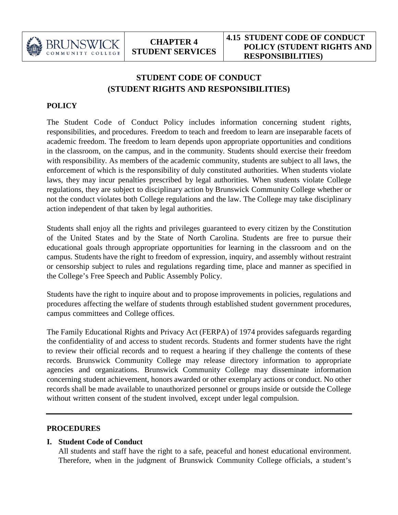

# **STUDENT CODE OF CONDUCT (STUDENT RIGHTS AND RESPONSIBILITIES)**

# **POLICY**

The Student Code of Conduct Policy includes information concerning student rights, responsibilities, and procedures. Freedom to teach and freedom to learn are inseparable facets of academic freedom. The freedom to learn depends upon appropriate opportunities and conditions in the classroom, on the campus, and in the community. Students should exercise their freedom with responsibility. As members of the academic community, students are subject to all laws, the enforcement of which is the responsibility of duly constituted authorities. When students violate laws, they may incur penalties prescribed by legal authorities. When students violate College regulations, they are subject to disciplinary action by Brunswick Community College whether or not the conduct violates both College regulations and the law. The College may take disciplinary action independent of that taken by legal authorities.

Students shall enjoy all the rights and privileges guaranteed to every citizen by the Constitution of the United States and by the State of North Carolina. Students are free to pursue their educational goals through appropriate opportunities for learning in the classroom and on the campus. Students have the right to freedom of expression, inquiry, and assembly without restraint or censorship subject to rules and regulations regarding time, place and manner as specified in the College's Free Speech and Public Assembly Policy.

Students have the right to inquire about and to propose improvements in policies, regulations and procedures affecting the welfare of students through established student government procedures, campus committees and College offices.

The Family Educational Rights and Privacy Act (FERPA) of 1974 provides safeguards regarding the confidentiality of and access to student records. Students and former students have the right to review their official records and to request a hearing if they challenge the contents of these records. Brunswick Community College may release directory information to appropriate agencies and organizations. Brunswick Community College may disseminate information concerning student achievement, honors awarded or other exemplary actions or conduct. No other records shall be made available to unauthorized personnel or groups inside or outside the College without written consent of the student involved, except under legal compulsion.

#### **PROCEDURES**

#### **I. Student Code of Conduct**

All students and staff have the right to a safe, peaceful and honest educational environment. Therefore, when in the judgment of Brunswick Community College officials, a student's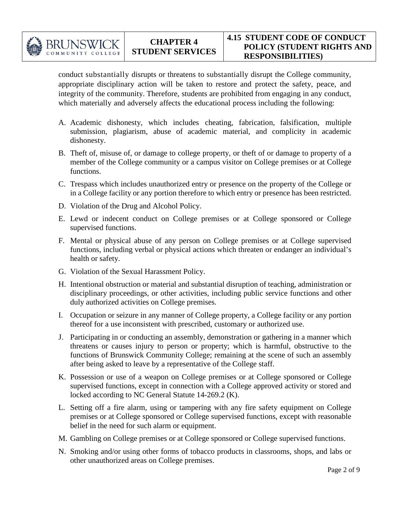

conduct substantially disrupts or threatens to substantially disrupt the College community, appropriate disciplinary action will be taken to restore and protect the safety, peace, and integrity of the community. Therefore, students are prohibited from engaging in any conduct, which materially and adversely affects the educational process including the following:

- A. Academic dishonesty, which includes cheating, fabrication, falsification, multiple submission, plagiarism, abuse of academic material, and complicity in academic dishonesty.
- B. Theft of, misuse of, or damage to college property, or theft of or damage to property of a member of the College community or a campus visitor on College premises or at College functions.
- C. Trespass which includes unauthorized entry or presence on the property of the College or in a College facility or any portion therefore to which entry or presence has been restricted.
- D. Violation of the Drug and Alcohol Policy.
- E. Lewd or indecent conduct on College premises or at College sponsored or College supervised functions.
- F. Mental or physical abuse of any person on College premises or at College supervised functions, including verbal or physical actions which threaten or endanger an individual's health or safety.
- G. Violation of the Sexual Harassment Policy.
- H. Intentional obstruction or material and substantial disruption of teaching, administration or disciplinary proceedings, or other activities, including public service functions and other duly authorized activities on College premises.
- I. Occupation or seizure in any manner of College property, a College facility or any portion thereof for a use inconsistent with prescribed, customary or authorized use.
- J. Participating in or conducting an assembly, demonstration or gathering in a manner which threatens or causes injury to person or property; which is harmful, obstructive to the functions of Brunswick Community College; remaining at the scene of such an assembly after being asked to leave by a representative of the College staff.
- K. Possession or use of a weapon on College premises or at College sponsored or College supervised functions, except in connection with a College approved activity or stored and locked according to NC General Statute 14-269.2 (K).
- L. Setting off a fire alarm, using or tampering with any fire safety equipment on College premises or at College sponsored or College supervised functions, except with reasonable belief in the need for such alarm or equipment.
- M. Gambling on College premises or at College sponsored or College supervised functions.
- N. Smoking and/or using other forms of tobacco products in classrooms, shops, and labs or other unauthorized areas on College premises.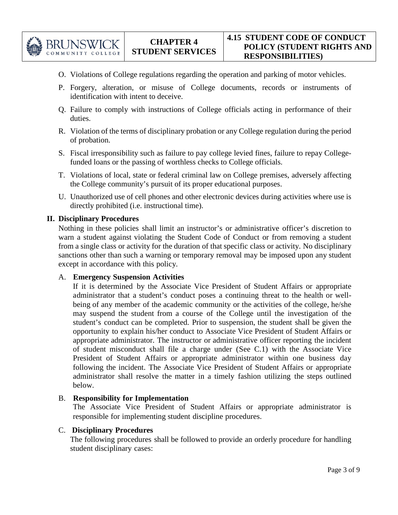

- O. Violations of College regulations regarding the operation and parking of motor vehicles.
- P. Forgery, alteration, or misuse of College documents, records or instruments of identification with intent to deceive.
- Q. Failure to comply with instructions of College officials acting in performance of their duties.
- R. Violation of the terms of disciplinary probation or any College regulation during the period of probation.
- S. Fiscal irresponsibility such as failure to pay college levied fines, failure to repay Collegefunded loans or the passing of worthless checks to College officials.
- T. Violations of local, state or federal criminal law on College premises, adversely affecting the College community's pursuit of its proper educational purposes.
- U. Unauthorized use of cell phones and other electronic devices during activities where use is directly prohibited (i.e. instructional time).

#### **II. Disciplinary Procedures**

Nothing in these policies shall limit an instructor's or administrative officer's discretion to warn a student against violating the Student Code of Conduct or from removing a student from a single class or activity for the duration of that specific class or activity. No disciplinary sanctions other than such a warning or temporary removal may be imposed upon any student except in accordance with this policy.

#### A. **Emergency Suspension Activities**

If it is determined by the Associate Vice President of Student Affairs or appropriate administrator that a student's conduct poses a continuing threat to the health or wellbeing of any member of the academic community or the activities of the college, he/she may suspend the student from a course of the College until the investigation of the student's conduct can be completed. Prior to suspension, the student shall be given the opportunity to explain his/her conduct to Associate Vice President of Student Affairs or appropriate administrator. The instructor or administrative officer reporting the incident of student misconduct shall file a charge under (See C.1) with the Associate Vice President of Student Affairs or appropriate administrator within one business day following the incident. The Associate Vice President of Student Affairs or appropriate administrator shall resolve the matter in a timely fashion utilizing the steps outlined below.

#### B. **Responsibility for Implementation**

The Associate Vice President of Student Affairs or appropriate administrator is responsible for implementing student discipline procedures.

#### C. **Disciplinary Procedures**

The following procedures shall be followed to provide an orderly procedure for handling student disciplinary cases: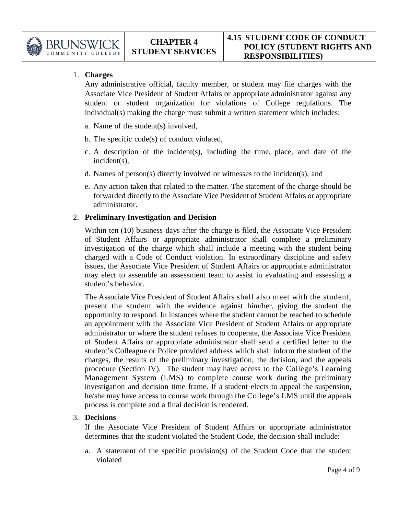

# 1. **Charges**

Any administrative official, faculty member, or student may file charges with the Associate Vice President of Student Affairs or appropriate administrator against any student or student organization for violations of College regulations. The individual(s) making the charge must submit a written statement which includes:

- a. Name of the student(s) involved,
- b. The specific code(s) of conduct violated,
- c. A description of the incident(s), including the time, place, and date of the incident(s),
- d. Names of person(s) directly involved or witnesses to the incident(s), and
- e. Any action taken that related to the matter. The statement of the charge should be forwarded directly to the Associate Vice President of Student Affairs or appropriate administrator.

### 2. **Preliminary Investigation and Decision**

Within ten (10) business days after the charge is filed, the Associate Vice President of Student Affairs or appropriate administrator shall complete a preliminary investigation of the charge which shall include a meeting with the student being charged with a Code of Conduct violation. In extraordinary discipline and safety issues, the Associate Vice President of Student Affairs or appropriate administrator may elect to assemble an assessment team to assist in evaluating and assessing a student's behavior.

The Associate Vice President of Student Affairs shall also meet with the student, present the student with the evidence against him/her, giving the student the opportunity to respond. In instances where the student cannot be reached to schedule an appointment with the Associate Vice President of Student Affairs or appropriate administrator or where the student refuses to cooperate, the Associate Vice President of Student Affairs or appropriate administrator shall send a certified letter to the student's Colleague or Police provided address which shall inform the student of the charges, the results of the preliminary investigation, the decision, and the appeals procedure (Section IV). The student may have access to the College's Learning Management System (LMS) to complete course work during the preliminary investigation and decision time frame. If a student elects to appeal the suspension, he/she may have access to course work through the College's LMS until the appeals process is complete and a final decision is rendered.

#### 3. **Decisions**

If the Associate Vice President of Student Affairs or appropriate administrator determines that the student violated the Student Code, the decision shall include:

a. A statement of the specific provision(s) of the Student Code that the student violated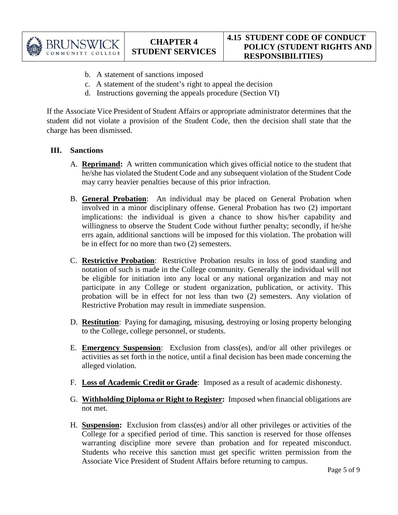

- b. A statement of sanctions imposed
- c. A statement of the student's right to appeal the decision
- d. Instructions governing the appeals procedure (Section VI)

If the Associate Vice President of Student Affairs or appropriate administrator determines that the student did not violate a provision of the Student Code, then the decision shall state that the charge has been dismissed.

### **III. Sanctions**

- A. **Reprimand:** A written communication which gives official notice to the student that he/she has violated the Student Code and any subsequent violation of the Student Code may carry heavier penalties because of this prior infraction.
- B. **General Probation**:An individual may be placed on General Probation when involved in a minor disciplinary offense. General Probation has two (2) important implications: the individual is given a chance to show his/her capability and willingness to observe the Student Code without further penalty; secondly, if he/she errs again, additional sanctions will be imposed for this violation. The probation will be in effect for no more than two (2) semesters.
- C. **Restrictive Probation**: Restrictive Probation results in loss of good standing and notation of such is made in the College community. Generally the individual will not be eligible for initiation into any local or any national organization and may not participate in any College or student organization, publication, or activity. This probation will be in effect for not less than two (2) semesters. Any violation of Restrictive Probation may result in immediate suspension.
- D. **Restitution**: Paying for damaging, misusing, destroying or losing property belonging to the College, college personnel, or students.
- E. **Emergency Suspension**: Exclusion from class(es), and/or all other privileges or activities as set forth in the notice, until a final decision has been made concerning the alleged violation.
- F. **Loss of Academic Credit or Grade**: Imposed as a result of academic dishonesty.
- G. **Withholding Diploma or Right to Register:** Imposed when financial obligations are not met.
- H. **Suspension:** Exclusion from class(es) and/or all other privileges or activities of the College for a specified period of time. This sanction is reserved for those offenses warranting discipline more severe than probation and for repeated misconduct. Students who receive this sanction must get specific written permission from the Associate Vice President of Student Affairs before returning to campus.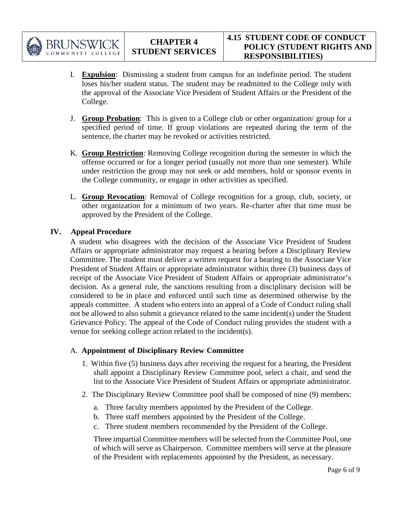

- I. **Expulsion**: Dismissing a student from campus for an indefinite period. The student loses his/her student status. The student may be readmitted to the College only with the approval of the Associate Vice President of Student Affairs or the President of the College.
- J. **Group Probation**: This is given to a College club or other organization/ group for a specified period of time. If group violations are repeated during the term of the sentence, the charter may be revoked or activities restricted.
- K. **Group Restriction**: Removing College recognition during the semester in which the offense occurred or for a longer period (usually not more than one semester). While under restriction the group may not seek or add members, hold or sponsor events in the College community, or engage in other activities as specified.
- L. **Group Revocation**: Removal of College recognition for a group, club, society, or other organization for a minimum of two years. Re-charter after that time must be approved by the President of the College.

### **IV. Appeal Procedure**

A student who disagrees with the decision of the Associate Vice President of Student Affairs or appropriate administrator may request a hearing before a Disciplinary Review Committee. The student must deliver a written request for a hearing to the Associate Vice President of Student Affairs or appropriate administrator within three (3) business days of receipt of the Associate Vice President of Student Affairs or appropriate administrator's decision. As a general rule, the sanctions resulting from a disciplinary decision will be considered to be in place and enforced until such time as determined otherwise by the appeals committee. A student who enters into an appeal of a Code of Conduct ruling shall not be allowed to also submit a grievance related to the same incident(s) under the Student Grievance Policy. The appeal of the Code of Conduct ruling provides the student with a venue for seeking college action related to the incident(s).

#### A. **Appointment of Disciplinary Review Committee**

- 1. Within five (5) business days after receiving the request for a hearing, the President shall appoint a Disciplinary Review Committee pool, select a chair, and send the list to the Associate Vice President of Student Affairs or appropriate administrator.
- 2. The Disciplinary Review Committee pool shall be composed of nine (9) members:
	- a. Three faculty members appointed by the President of the College.
	- b. Three staff members appointed by the President of the College.
	- c. Three student members recommended by the President of the College.

Three impartial Committee members will be selected from the Committee Pool, one of which will serve as Chairperson. Committee members will serve at the pleasure of the President with replacements appointed by the President, as necessary.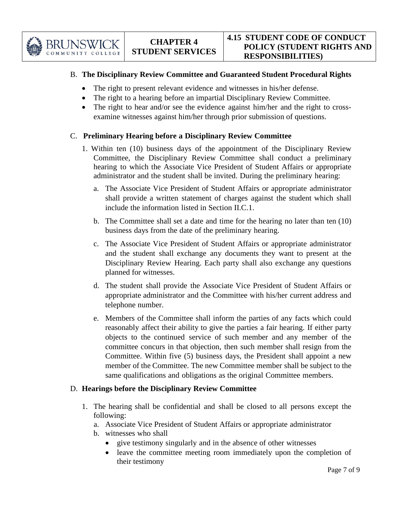

# B. **The Disciplinary Review Committee and Guaranteed Student Procedural Rights**

- The right to present relevant evidence and witnesses in his/her defense.
- The right to a hearing before an impartial Disciplinary Review Committee.
- The right to hear and/or see the evidence against him/her and the right to crossexamine witnesses against him/her through prior submission of questions.

# C. **Preliminary Hearing before a Disciplinary Review Committee**

- 1. Within ten (10) business days of the appointment of the Disciplinary Review Committee, the Disciplinary Review Committee shall conduct a preliminary hearing to which the Associate Vice President of Student Affairs or appropriate administrator and the student shall be invited. During the preliminary hearing:
	- a. The Associate Vice President of Student Affairs or appropriate administrator shall provide a written statement of charges against the student which shall include the information listed in Section II.C.1.
	- b. The Committee shall set a date and time for the hearing no later than ten (10) business days from the date of the preliminary hearing.
	- c. The Associate Vice President of Student Affairs or appropriate administrator and the student shall exchange any documents they want to present at the Disciplinary Review Hearing. Each party shall also exchange any questions planned for witnesses.
	- d. The student shall provide the Associate Vice President of Student Affairs or appropriate administrator and the Committee with his/her current address and telephone number.
	- e. Members of the Committee shall inform the parties of any facts which could reasonably affect their ability to give the parties a fair hearing. If either party objects to the continued service of such member and any member of the committee concurs in that objection, then such member shall resign from the Committee. Within five (5) business days, the President shall appoint a new member of the Committee. The new Committee member shall be subject to the same qualifications and obligations as the original Committee members.

# D. **Hearings before the Disciplinary Review Committee**

- 1. The hearing shall be confidential and shall be closed to all persons except the following:
	- a. Associate Vice President of Student Affairs or appropriate administrator
	- b. witnesses who shall
		- give testimony singularly and in the absence of other witnesses
		- leave the committee meeting room immediately upon the completion of their testimony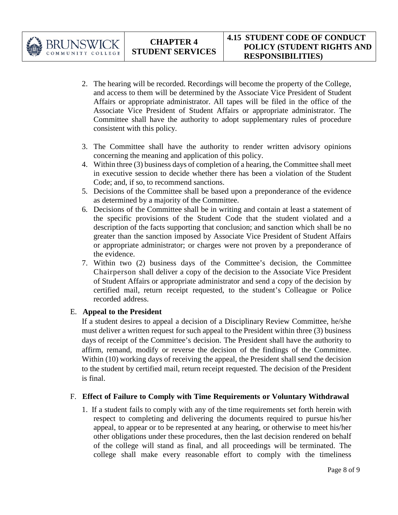

- 2. The hearing will be recorded. Recordings will become the property of the College, and access to them will be determined by the Associate Vice President of Student Affairs or appropriate administrator. All tapes will be filed in the office of the Associate Vice President of Student Affairs or appropriate administrator. The Committee shall have the authority to adopt supplementary rules of procedure consistent with this policy.
- 3. The Committee shall have the authority to render written advisory opinions concerning the meaning and application of this policy.
- 4. Within three (3) business days of completion of a hearing, the Committee shall meet in executive session to decide whether there has been a violation of the Student Code; and, if so, to recommend sanctions.
- 5. Decisions of the Committee shall be based upon a preponderance of the evidence as determined by a majority of the Committee.
- 6. Decisions of the Committee shall be in writing and contain at least a statement of the specific provisions of the Student Code that the student violated and a description of the facts supporting that conclusion; and sanction which shall be no greater than the sanction imposed by Associate Vice President of Student Affairs or appropriate administrator; or charges were not proven by a preponderance of the evidence.
- 7. Within two (2) business days of the Committee's decision, the Committee Chairperson shall deliver a copy of the decision to the Associate Vice President of Student Affairs or appropriate administrator and send a copy of the decision by certified mail, return receipt requested, to the student's Colleague or Police recorded address.

# E. **Appeal to the President**

If a student desires to appeal a decision of a Disciplinary Review Committee, he/she must deliver a written request for such appeal to the President within three (3) business days of receipt of the Committee's decision. The President shall have the authority to affirm, remand, modify or reverse the decision of the findings of the Committee. Within (10) working days of receiving the appeal, the President shall send the decision to the student by certified mail, return receipt requested. The decision of the President is final.

# F. **Effect of Failure to Comply with Time Requirements or Voluntary Withdrawal**

1. If a student fails to comply with any of the time requirements set forth herein with respect to completing and delivering the documents required to pursue his/her appeal, to appear or to be represented at any hearing, or otherwise to meet his/her other obligations under these procedures, then the last decision rendered on behalf of the college will stand as final, and all proceedings will be terminated. The college shall make every reasonable effort to comply with the timeliness